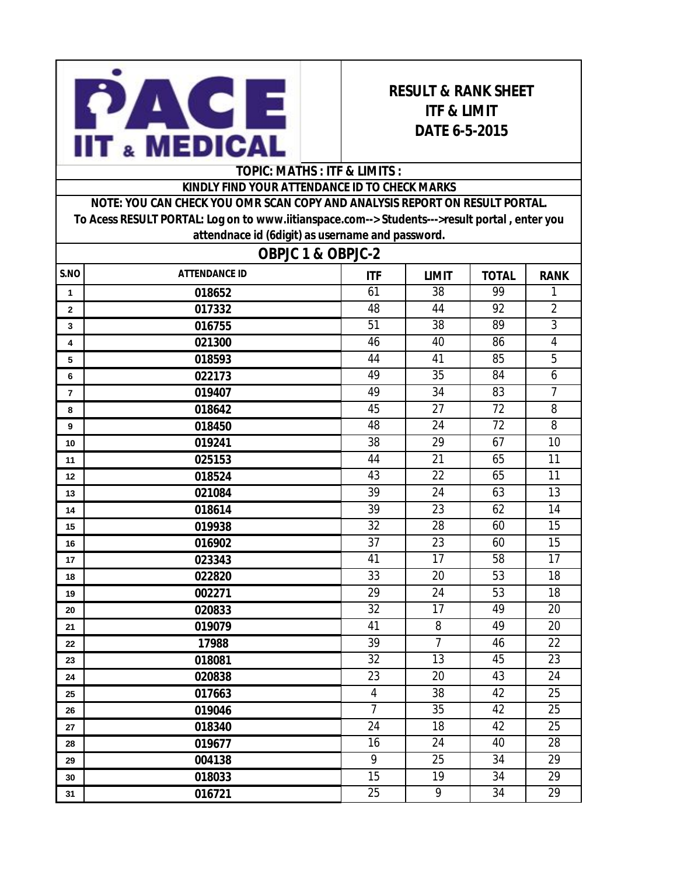

## **RESULT & RANK SHEET ITF & LIMIT DATE 6-5-2015**

## **TOPIC: MATHS : ITF & LIMITS :**

## **KINDLY FIND YOUR ATTENDANCE ID TO CHECK MARKS**

**NOTE: YOU CAN CHECK YOU OMR SCAN COPY AND ANALYSIS REPORT ON RESULT PORTAL. To Acess RESULT PORTAL: Log on to www.iitianspace.com--> Students--->result portal , enter you attendnace id (6digit) as username and password.** 

| <b>OBPJC 1 &amp; OBPJC-2</b> |                      |                 |                 |                 |                 |  |  |
|------------------------------|----------------------|-----------------|-----------------|-----------------|-----------------|--|--|
| S.NO                         | <b>ATTENDANCE ID</b> | <b>ITF</b>      | <b>LIMIT</b>    | <b>TOTAL</b>    | <b>RANK</b>     |  |  |
| $\mathbf{1}$                 | 018652               | 61              | 38              | 99              | $\mathbf{1}$    |  |  |
| $\mathbf 2$                  | 017332               | 48              | 44              | 92              | $\overline{2}$  |  |  |
| 3                            | 016755               | 51              | 38              | 89              | $\overline{3}$  |  |  |
| 4                            | 021300               | 46              | 40              | 86              | $\overline{4}$  |  |  |
| 5                            | 018593               | 44              | 41              | 85              | 5               |  |  |
| 6                            | 022173               | 49              | $\overline{35}$ | 84              | 6               |  |  |
| 7                            | 019407               | 49              | 34              | 83              | $\overline{7}$  |  |  |
| 8                            | 018642               | 45              | 27              | 72              | 8               |  |  |
| 9                            | 018450               | 48              | $\overline{24}$ | $\overline{72}$ | $\overline{8}$  |  |  |
| 10                           | 019241               | 38              | 29              | 67              | 10              |  |  |
| 11                           | 025153               | 44              | 21              | 65              | 11              |  |  |
| 12                           | 018524               | 43              | 22              | 65              | 11              |  |  |
| 13                           | 021084               | 39              | 24              | 63              | 13              |  |  |
| 14                           | 018614               | 39              | 23              | 62              | 14              |  |  |
| 15                           | 019938               | $\overline{32}$ | $\overline{28}$ | 60              | $\overline{15}$ |  |  |
| 16                           | 016902               | 37              | 23              | 60              | 15              |  |  |
| 17                           | 023343               | 41              | 17              | 58              | 17              |  |  |
| 18                           | 022820               | $\overline{33}$ | $\overline{20}$ | $\overline{53}$ | $\overline{18}$ |  |  |
| 19                           | 002271               | 29              | 24              | 53              | 18              |  |  |
| 20                           | 020833               | 32              | 17              | 49              | 20              |  |  |
| 21                           | 019079               | 41              | 8               | 49              | 20              |  |  |
| 22                           | 17988                | 39              | $\overline{7}$  | 46              | 22              |  |  |
| 23                           | 018081               | $\overline{32}$ | 13              | 45              | 23              |  |  |
| 24                           | 020838               | 23              | 20              | 43              | 24              |  |  |
| 25                           | 017663               | $\overline{4}$  | 38              | 42              | 25              |  |  |
| 26                           | 019046               | $\overline{7}$  | 35              | 42              | 25              |  |  |
| 27                           | 018340               | $\overline{24}$ | 18              | 42              | $\overline{25}$ |  |  |
| 28                           | 019677               | 16              | 24              | 40              | 28              |  |  |
| 29                           | 004138               | 9               | 25              | 34              | 29              |  |  |
| 30                           | 018033               | 15              | 19              | 34              | 29              |  |  |
| 31                           | 016721               | $\overline{25}$ | $\overline{9}$  | 34              | 29              |  |  |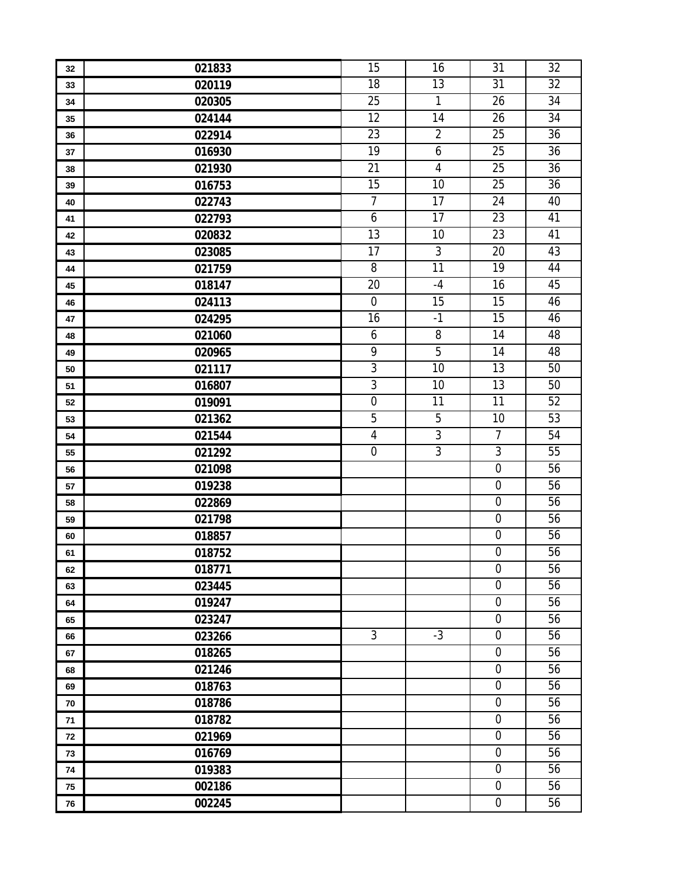| 32 | 021833 | 15               | 16               | 31               | 32 |
|----|--------|------------------|------------------|------------------|----|
| 33 | 020119 | 18               | 13               | 31               | 32 |
| 34 | 020305 | 25               | $\mathbf{1}$     | 26               | 34 |
| 35 | 024144 | $\overline{12}$  | $\overline{14}$  | 26               | 34 |
| 36 | 022914 | 23               | $\overline{2}$   | 25               | 36 |
| 37 | 016930 | 19               | $\boldsymbol{6}$ | 25               | 36 |
| 38 | 021930 | 21               | $\overline{4}$   | 25               | 36 |
| 39 | 016753 | 15               | 10               | 25               | 36 |
| 40 | 022743 | $\overline{7}$   | 17               | 24               | 40 |
| 41 | 022793 | $\boldsymbol{6}$ | $\overline{17}$  | 23               | 41 |
| 42 | 020832 | 13               | 10               | 23               | 41 |
| 43 | 023085 | 17               | $\overline{3}$   | 20               | 43 |
| 44 | 021759 | 8                | $\overline{11}$  | 19               | 44 |
| 45 | 018147 | 20               | $-4$             | 16               | 45 |
| 46 | 024113 | $\boldsymbol{0}$ | 15               | 15               | 46 |
| 47 | 024295 | 16               | $-1$             | 15               | 46 |
| 48 | 021060 | 6                | 8                | 14               | 48 |
| 49 | 020965 | 9                | $\overline{5}$   | 14               | 48 |
| 50 | 021117 | $\overline{3}$   | $\overline{10}$  | 13               | 50 |
| 51 | 016807 | $\overline{3}$   | 10               | 13               | 50 |
| 52 | 019091 | $\boldsymbol{0}$ | 11               | 11               | 52 |
| 53 | 021362 | $\overline{5}$   | 5                | 10               | 53 |
| 54 | 021544 | $\sqrt{4}$       | $\overline{3}$   | $\overline{7}$   | 54 |
| 55 | 021292 | $\mathbf 0$      | $\overline{3}$   | 3                | 55 |
| 56 | 021098 |                  |                  | $\mathbf 0$      | 56 |
| 57 | 019238 |                  |                  | $\boldsymbol{0}$ | 56 |
| 58 | 022869 |                  |                  | $\mathbf 0$      | 56 |
| 59 | 021798 |                  |                  | $\boldsymbol{0}$ | 56 |
| 60 | 018857 |                  |                  | $\mathbf 0$      | 56 |
| 61 | 018752 |                  |                  | $\mathbf 0$      | 56 |
| 62 | 018771 |                  |                  | $\mathbf 0$      | 56 |
| 63 | 023445 |                  |                  | $\boldsymbol{0}$ | 56 |
| 64 | 019247 |                  |                  | $\boldsymbol{0}$ | 56 |
| 65 | 023247 |                  |                  | $\boldsymbol{0}$ | 56 |
| 66 | 023266 | $\overline{3}$   | $-3$             | $\boldsymbol{0}$ | 56 |
| 67 | 018265 |                  |                  | $\boldsymbol{0}$ | 56 |
| 68 | 021246 |                  |                  | $\mathbf 0$      | 56 |
| 69 | 018763 |                  |                  | $\mathbf 0$      | 56 |
| 70 | 018786 |                  |                  | $\boldsymbol{0}$ | 56 |
| 71 | 018782 |                  |                  | $\mathbf 0$      | 56 |
| 72 | 021969 |                  |                  | $\boldsymbol{0}$ | 56 |
| 73 | 016769 |                  |                  | $\mathbf 0$      | 56 |
| 74 | 019383 |                  |                  | $\boldsymbol{0}$ | 56 |
| 75 | 002186 |                  |                  | $\mathbf 0$      | 56 |
| 76 | 002245 |                  |                  | $\boldsymbol{0}$ | 56 |